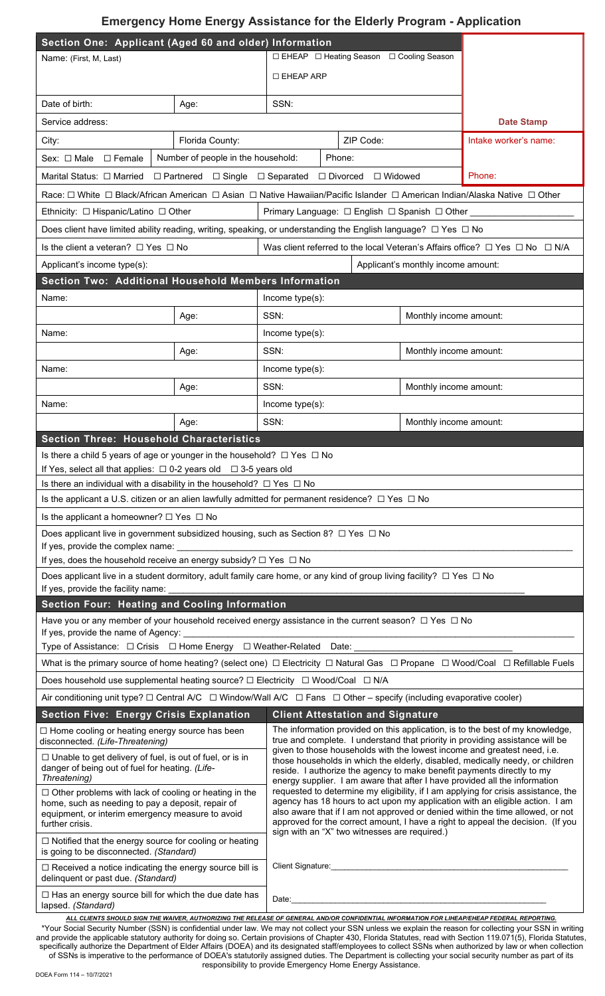## **Emergency Home Energy Assistance for the Elderly Program - Application**

| Section One: Applicant (Aged 60 and older) Information                                                                                                                                                                                                                                                                                                                                                                                                                                                                                                                                                                                                                                                                                                                                                                                                              |                                                                                                                                                                                                                                                                                                                                         | □ EHEAP □ Heating Season □ Cooling Season                                                                                                                                                                                                                                                                         |                                                                                                                                                                |                        |                        |  |  |  |  |  |  |
|---------------------------------------------------------------------------------------------------------------------------------------------------------------------------------------------------------------------------------------------------------------------------------------------------------------------------------------------------------------------------------------------------------------------------------------------------------------------------------------------------------------------------------------------------------------------------------------------------------------------------------------------------------------------------------------------------------------------------------------------------------------------------------------------------------------------------------------------------------------------|-----------------------------------------------------------------------------------------------------------------------------------------------------------------------------------------------------------------------------------------------------------------------------------------------------------------------------------------|-------------------------------------------------------------------------------------------------------------------------------------------------------------------------------------------------------------------------------------------------------------------------------------------------------------------|----------------------------------------------------------------------------------------------------------------------------------------------------------------|------------------------|------------------------|--|--|--|--|--|--|
| Name: (First, M, Last)                                                                                                                                                                                                                                                                                                                                                                                                                                                                                                                                                                                                                                                                                                                                                                                                                                              |                                                                                                                                                                                                                                                                                                                                         |                                                                                                                                                                                                                                                                                                                   |                                                                                                                                                                |                        |                        |  |  |  |  |  |  |
|                                                                                                                                                                                                                                                                                                                                                                                                                                                                                                                                                                                                                                                                                                                                                                                                                                                                     |                                                                                                                                                                                                                                                                                                                                         | □ EHEAP ARP                                                                                                                                                                                                                                                                                                       |                                                                                                                                                                |                        |                        |  |  |  |  |  |  |
| Date of birth:                                                                                                                                                                                                                                                                                                                                                                                                                                                                                                                                                                                                                                                                                                                                                                                                                                                      | Age:                                                                                                                                                                                                                                                                                                                                    | SSN:                                                                                                                                                                                                                                                                                                              |                                                                                                                                                                |                        |                        |  |  |  |  |  |  |
| Service address:                                                                                                                                                                                                                                                                                                                                                                                                                                                                                                                                                                                                                                                                                                                                                                                                                                                    | <b>Date Stamp</b>                                                                                                                                                                                                                                                                                                                       |                                                                                                                                                                                                                                                                                                                   |                                                                                                                                                                |                        |                        |  |  |  |  |  |  |
| City:                                                                                                                                                                                                                                                                                                                                                                                                                                                                                                                                                                                                                                                                                                                                                                                                                                                               | Intake worker's name:                                                                                                                                                                                                                                                                                                                   |                                                                                                                                                                                                                                                                                                                   |                                                                                                                                                                |                        |                        |  |  |  |  |  |  |
| Number of people in the household:<br>Sex: $\Box$ Male $\Box$ Female                                                                                                                                                                                                                                                                                                                                                                                                                                                                                                                                                                                                                                                                                                                                                                                                |                                                                                                                                                                                                                                                                                                                                         |                                                                                                                                                                                                                                                                                                                   |                                                                                                                                                                |                        |                        |  |  |  |  |  |  |
| Phone:<br>$\Box$ Partnered $\Box$ Single $\Box$ Separated $\Box$ Divorced<br>Marital Status: □ Married<br>□ Widowed                                                                                                                                                                                                                                                                                                                                                                                                                                                                                                                                                                                                                                                                                                                                                 |                                                                                                                                                                                                                                                                                                                                         |                                                                                                                                                                                                                                                                                                                   |                                                                                                                                                                |                        |                        |  |  |  |  |  |  |
| Race: □ White □ Black/African American □ Asian □ Native Hawaiian/Pacific Islander □ American Indian/Alaska Native □ Other                                                                                                                                                                                                                                                                                                                                                                                                                                                                                                                                                                                                                                                                                                                                           |                                                                                                                                                                                                                                                                                                                                         |                                                                                                                                                                                                                                                                                                                   |                                                                                                                                                                |                        |                        |  |  |  |  |  |  |
| Ethnicity: $\Box$ Hispanic/Latino $\Box$ Other<br>Primary Language: □ English □ Spanish □ Other ___                                                                                                                                                                                                                                                                                                                                                                                                                                                                                                                                                                                                                                                                                                                                                                 |                                                                                                                                                                                                                                                                                                                                         |                                                                                                                                                                                                                                                                                                                   |                                                                                                                                                                |                        |                        |  |  |  |  |  |  |
| Does client have limited ability reading, writing, speaking, or understanding the English language? $\Box$ Yes $\Box$ No                                                                                                                                                                                                                                                                                                                                                                                                                                                                                                                                                                                                                                                                                                                                            |                                                                                                                                                                                                                                                                                                                                         |                                                                                                                                                                                                                                                                                                                   |                                                                                                                                                                |                        |                        |  |  |  |  |  |  |
| Is the client a veteran? $\Box$ Yes $\Box$ No                                                                                                                                                                                                                                                                                                                                                                                                                                                                                                                                                                                                                                                                                                                                                                                                                       |                                                                                                                                                                                                                                                                                                                                         |                                                                                                                                                                                                                                                                                                                   | Was client referred to the local Veteran's Affairs office? $\Box$ Yes $\Box$ No $\Box$ N/A                                                                     |                        |                        |  |  |  |  |  |  |
| Applicant's income type(s):                                                                                                                                                                                                                                                                                                                                                                                                                                                                                                                                                                                                                                                                                                                                                                                                                                         |                                                                                                                                                                                                                                                                                                                                         |                                                                                                                                                                                                                                                                                                                   | Applicant's monthly income amount:                                                                                                                             |                        |                        |  |  |  |  |  |  |
| Section Two: Additional Household Members Information                                                                                                                                                                                                                                                                                                                                                                                                                                                                                                                                                                                                                                                                                                                                                                                                               |                                                                                                                                                                                                                                                                                                                                         |                                                                                                                                                                                                                                                                                                                   |                                                                                                                                                                |                        |                        |  |  |  |  |  |  |
| Name:                                                                                                                                                                                                                                                                                                                                                                                                                                                                                                                                                                                                                                                                                                                                                                                                                                                               |                                                                                                                                                                                                                                                                                                                                         | Income type(s):                                                                                                                                                                                                                                                                                                   |                                                                                                                                                                |                        |                        |  |  |  |  |  |  |
|                                                                                                                                                                                                                                                                                                                                                                                                                                                                                                                                                                                                                                                                                                                                                                                                                                                                     | Age:                                                                                                                                                                                                                                                                                                                                    | SSN:                                                                                                                                                                                                                                                                                                              |                                                                                                                                                                | Monthly income amount: |                        |  |  |  |  |  |  |
| Name:                                                                                                                                                                                                                                                                                                                                                                                                                                                                                                                                                                                                                                                                                                                                                                                                                                                               |                                                                                                                                                                                                                                                                                                                                         | Income type(s):                                                                                                                                                                                                                                                                                                   |                                                                                                                                                                |                        |                        |  |  |  |  |  |  |
|                                                                                                                                                                                                                                                                                                                                                                                                                                                                                                                                                                                                                                                                                                                                                                                                                                                                     | Age:                                                                                                                                                                                                                                                                                                                                    | SSN:                                                                                                                                                                                                                                                                                                              |                                                                                                                                                                |                        | Monthly income amount: |  |  |  |  |  |  |
| Name:                                                                                                                                                                                                                                                                                                                                                                                                                                                                                                                                                                                                                                                                                                                                                                                                                                                               |                                                                                                                                                                                                                                                                                                                                         | Income type(s):                                                                                                                                                                                                                                                                                                   |                                                                                                                                                                |                        |                        |  |  |  |  |  |  |
|                                                                                                                                                                                                                                                                                                                                                                                                                                                                                                                                                                                                                                                                                                                                                                                                                                                                     | Age:                                                                                                                                                                                                                                                                                                                                    | SSN:                                                                                                                                                                                                                                                                                                              |                                                                                                                                                                |                        | Monthly income amount: |  |  |  |  |  |  |
| Name:                                                                                                                                                                                                                                                                                                                                                                                                                                                                                                                                                                                                                                                                                                                                                                                                                                                               |                                                                                                                                                                                                                                                                                                                                         | Income type(s):                                                                                                                                                                                                                                                                                                   |                                                                                                                                                                |                        |                        |  |  |  |  |  |  |
| SSN:<br>Monthly income amount:<br>Age:                                                                                                                                                                                                                                                                                                                                                                                                                                                                                                                                                                                                                                                                                                                                                                                                                              |                                                                                                                                                                                                                                                                                                                                         |                                                                                                                                                                                                                                                                                                                   |                                                                                                                                                                |                        |                        |  |  |  |  |  |  |
| <b>Section Three: Household Characteristics</b><br>Is there a child 5 years of age or younger in the household? $\Box$ Yes $\Box$ No                                                                                                                                                                                                                                                                                                                                                                                                                                                                                                                                                                                                                                                                                                                                |                                                                                                                                                                                                                                                                                                                                         |                                                                                                                                                                                                                                                                                                                   |                                                                                                                                                                |                        |                        |  |  |  |  |  |  |
| If Yes, select all that applies: $\Box$ 0-2 years old $\Box$ 3-5 years old                                                                                                                                                                                                                                                                                                                                                                                                                                                                                                                                                                                                                                                                                                                                                                                          |                                                                                                                                                                                                                                                                                                                                         |                                                                                                                                                                                                                                                                                                                   |                                                                                                                                                                |                        |                        |  |  |  |  |  |  |
| Is there an individual with a disability in the household? $\Box$ Yes $\Box$ No                                                                                                                                                                                                                                                                                                                                                                                                                                                                                                                                                                                                                                                                                                                                                                                     |                                                                                                                                                                                                                                                                                                                                         |                                                                                                                                                                                                                                                                                                                   |                                                                                                                                                                |                        |                        |  |  |  |  |  |  |
| Is the applicant a U.S. citizen or an alien lawfully admitted for permanent residence? $\Box$ Yes $\Box$ No                                                                                                                                                                                                                                                                                                                                                                                                                                                                                                                                                                                                                                                                                                                                                         |                                                                                                                                                                                                                                                                                                                                         |                                                                                                                                                                                                                                                                                                                   |                                                                                                                                                                |                        |                        |  |  |  |  |  |  |
| Is the applicant a homeowner? $\Box$ Yes $\Box$ No                                                                                                                                                                                                                                                                                                                                                                                                                                                                                                                                                                                                                                                                                                                                                                                                                  |                                                                                                                                                                                                                                                                                                                                         |                                                                                                                                                                                                                                                                                                                   |                                                                                                                                                                |                        |                        |  |  |  |  |  |  |
| Does applicant live in government subsidized housing, such as Section 8? $\Box$ Yes $\Box$ No                                                                                                                                                                                                                                                                                                                                                                                                                                                                                                                                                                                                                                                                                                                                                                       |                                                                                                                                                                                                                                                                                                                                         |                                                                                                                                                                                                                                                                                                                   |                                                                                                                                                                |                        |                        |  |  |  |  |  |  |
| If yes, does the household receive an energy subsidy? $\Box$ Yes $\Box$ No                                                                                                                                                                                                                                                                                                                                                                                                                                                                                                                                                                                                                                                                                                                                                                                          |                                                                                                                                                                                                                                                                                                                                         |                                                                                                                                                                                                                                                                                                                   |                                                                                                                                                                |                        |                        |  |  |  |  |  |  |
| Does applicant live in a student dormitory, adult family care home, or any kind of group living facility? $\Box$ Yes $\Box$ No                                                                                                                                                                                                                                                                                                                                                                                                                                                                                                                                                                                                                                                                                                                                      |                                                                                                                                                                                                                                                                                                                                         |                                                                                                                                                                                                                                                                                                                   |                                                                                                                                                                |                        |                        |  |  |  |  |  |  |
|                                                                                                                                                                                                                                                                                                                                                                                                                                                                                                                                                                                                                                                                                                                                                                                                                                                                     |                                                                                                                                                                                                                                                                                                                                         |                                                                                                                                                                                                                                                                                                                   |                                                                                                                                                                |                        |                        |  |  |  |  |  |  |
| <b>Section Four: Heating and Cooling Information</b>                                                                                                                                                                                                                                                                                                                                                                                                                                                                                                                                                                                                                                                                                                                                                                                                                |                                                                                                                                                                                                                                                                                                                                         |                                                                                                                                                                                                                                                                                                                   |                                                                                                                                                                |                        |                        |  |  |  |  |  |  |
| Have you or any member of your household received energy assistance in the current season? $\Box$ Yes $\Box$ No                                                                                                                                                                                                                                                                                                                                                                                                                                                                                                                                                                                                                                                                                                                                                     |                                                                                                                                                                                                                                                                                                                                         |                                                                                                                                                                                                                                                                                                                   |                                                                                                                                                                |                        |                        |  |  |  |  |  |  |
| Type of Assistance: □ Crisis □ Home Energy □ Weather-Related Date: ________________________________                                                                                                                                                                                                                                                                                                                                                                                                                                                                                                                                                                                                                                                                                                                                                                 |                                                                                                                                                                                                                                                                                                                                         |                                                                                                                                                                                                                                                                                                                   |                                                                                                                                                                |                        |                        |  |  |  |  |  |  |
| What is the primary source of home heating? (select one) □ Electricity □ Natural Gas □ Propane □ Wood/Coal □ Refillable Fuels                                                                                                                                                                                                                                                                                                                                                                                                                                                                                                                                                                                                                                                                                                                                       |                                                                                                                                                                                                                                                                                                                                         |                                                                                                                                                                                                                                                                                                                   |                                                                                                                                                                |                        |                        |  |  |  |  |  |  |
| Does household use supplemental heating source? $\Box$ Electricity $\Box$ Wood/Coal $\Box$ N/A                                                                                                                                                                                                                                                                                                                                                                                                                                                                                                                                                                                                                                                                                                                                                                      |                                                                                                                                                                                                                                                                                                                                         |                                                                                                                                                                                                                                                                                                                   |                                                                                                                                                                |                        |                        |  |  |  |  |  |  |
| Air conditioning unit type? $\Box$ Central A/C $\Box$ Window/Wall A/C $\Box$ Fans $\Box$ Other – specify (including evaporative cooler)                                                                                                                                                                                                                                                                                                                                                                                                                                                                                                                                                                                                                                                                                                                             |                                                                                                                                                                                                                                                                                                                                         |                                                                                                                                                                                                                                                                                                                   |                                                                                                                                                                |                        |                        |  |  |  |  |  |  |
| <b>Section Five: Energy Crisis Explanation</b><br><b>Client Attestation and Signature</b>                                                                                                                                                                                                                                                                                                                                                                                                                                                                                                                                                                                                                                                                                                                                                                           |                                                                                                                                                                                                                                                                                                                                         |                                                                                                                                                                                                                                                                                                                   |                                                                                                                                                                |                        |                        |  |  |  |  |  |  |
| □ Home cooling or heating energy source has been<br>disconnected. (Life-Threatening)                                                                                                                                                                                                                                                                                                                                                                                                                                                                                                                                                                                                                                                                                                                                                                                |                                                                                                                                                                                                                                                                                                                                         |                                                                                                                                                                                                                                                                                                                   | The information provided on this application, is to the best of my knowledge,<br>true and complete. I understand that priority in providing assistance will be |                        |                        |  |  |  |  |  |  |
| □ Unable to get delivery of fuel, is out of fuel, or is in<br>danger of being out of fuel for heating. (Life-<br>Threatening)                                                                                                                                                                                                                                                                                                                                                                                                                                                                                                                                                                                                                                                                                                                                       |                                                                                                                                                                                                                                                                                                                                         | given to those households with the lowest income and greatest need, i.e.<br>those households in which the elderly, disabled, medically needy, or children<br>reside. I authorize the agency to make benefit payments directly to my<br>energy supplier. I am aware that after I have provided all the information |                                                                                                                                                                |                        |                        |  |  |  |  |  |  |
| $\Box$ Other problems with lack of cooling or heating in the<br>home, such as needing to pay a deposit, repair of<br>equipment, or interim emergency measure to avoid<br>further crisis.                                                                                                                                                                                                                                                                                                                                                                                                                                                                                                                                                                                                                                                                            | requested to determine my eligibility, if I am applying for crisis assistance, the<br>agency has 18 hours to act upon my application with an eligible action. I am<br>also aware that if I am not approved or denied within the time allowed, or not<br>approved for the correct amount, I have a right to appeal the decision. (If you |                                                                                                                                                                                                                                                                                                                   |                                                                                                                                                                |                        |                        |  |  |  |  |  |  |
| □ Notified that the energy source for cooling or heating<br>is going to be disconnected. (Standard)                                                                                                                                                                                                                                                                                                                                                                                                                                                                                                                                                                                                                                                                                                                                                                 |                                                                                                                                                                                                                                                                                                                                         | sign with an "X" two witnesses are required.)                                                                                                                                                                                                                                                                     |                                                                                                                                                                |                        |                        |  |  |  |  |  |  |
| $\Box$ Received a notice indicating the energy source bill is<br>delinquent or past due. (Standard)                                                                                                                                                                                                                                                                                                                                                                                                                                                                                                                                                                                                                                                                                                                                                                 | Client Signature: <b>Example 2018</b>                                                                                                                                                                                                                                                                                                   |                                                                                                                                                                                                                                                                                                                   |                                                                                                                                                                |                        |                        |  |  |  |  |  |  |
| $\Box$ Has an energy source bill for which the due date has<br>lapsed. (Standard)                                                                                                                                                                                                                                                                                                                                                                                                                                                                                                                                                                                                                                                                                                                                                                                   |                                                                                                                                                                                                                                                                                                                                         | Date: the contract of the contract of the contract of the contract of the contract of the contract of the contract of the contract of the contract of the contract of the contract of the contract of the contract of the cont                                                                                    |                                                                                                                                                                |                        |                        |  |  |  |  |  |  |
| ALL CLIENTS SHOULD SIGN THE WAIVER, AUTHORIZING THE RELEASE OF GENERAL AND/OR CONFIDENTIAL INFORMATION FOR LIHEAP/EHEAP FEDERAL REPORTING.<br>Your Social Security Number (SSN) is confidential under law. We may not collect your SSN unless we explain the reason for collecting your SSN in writing<br>and provide the applicable statutory authority for doing so. Certain provisions of Chapter 430, Florida Statutes, read with Section 119.071(5), Florida Statutes,<br>specifically authorize the Department of Elder Affairs (DOEA) and its designated staff/employees to collect SSNs when authorized by law or when collection<br>of SSNs is imperative to the performance of DOEA's statutorily assigned duties. The Department is collecting your social security number as part of its<br>responsibility to provide Emergency Home Energy Assistance. |                                                                                                                                                                                                                                                                                                                                         |                                                                                                                                                                                                                                                                                                                   |                                                                                                                                                                |                        |                        |  |  |  |  |  |  |